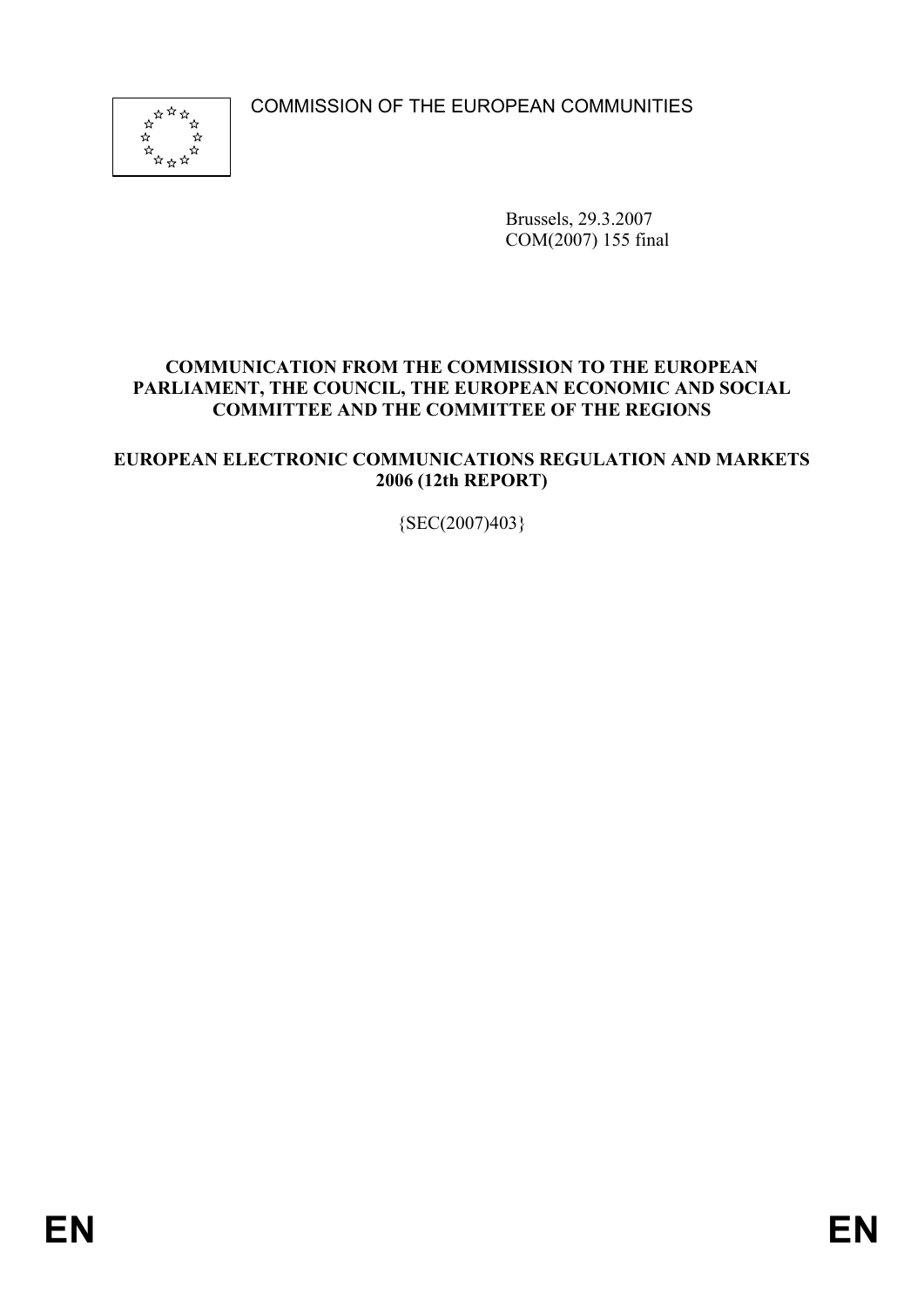COMMISSION OF THE EUROPEAN COMMUNITIES



Brussels, 29.3.2007 COM(2007) 155 final

## **COMMUNICATION FROM THE COMMISSION TO THE EUROPEAN PARLIAMENT, THE COUNCIL, THE EUROPEAN ECONOMIC AND SOCIAL COMMITTEE AND THE COMMITTEE OF THE REGIONS**

## **EUROPEAN ELECTRONIC COMMUNICATIONS REGULATION AND MARKETS 2006 (12th REPORT)**

{SEC(2007)403}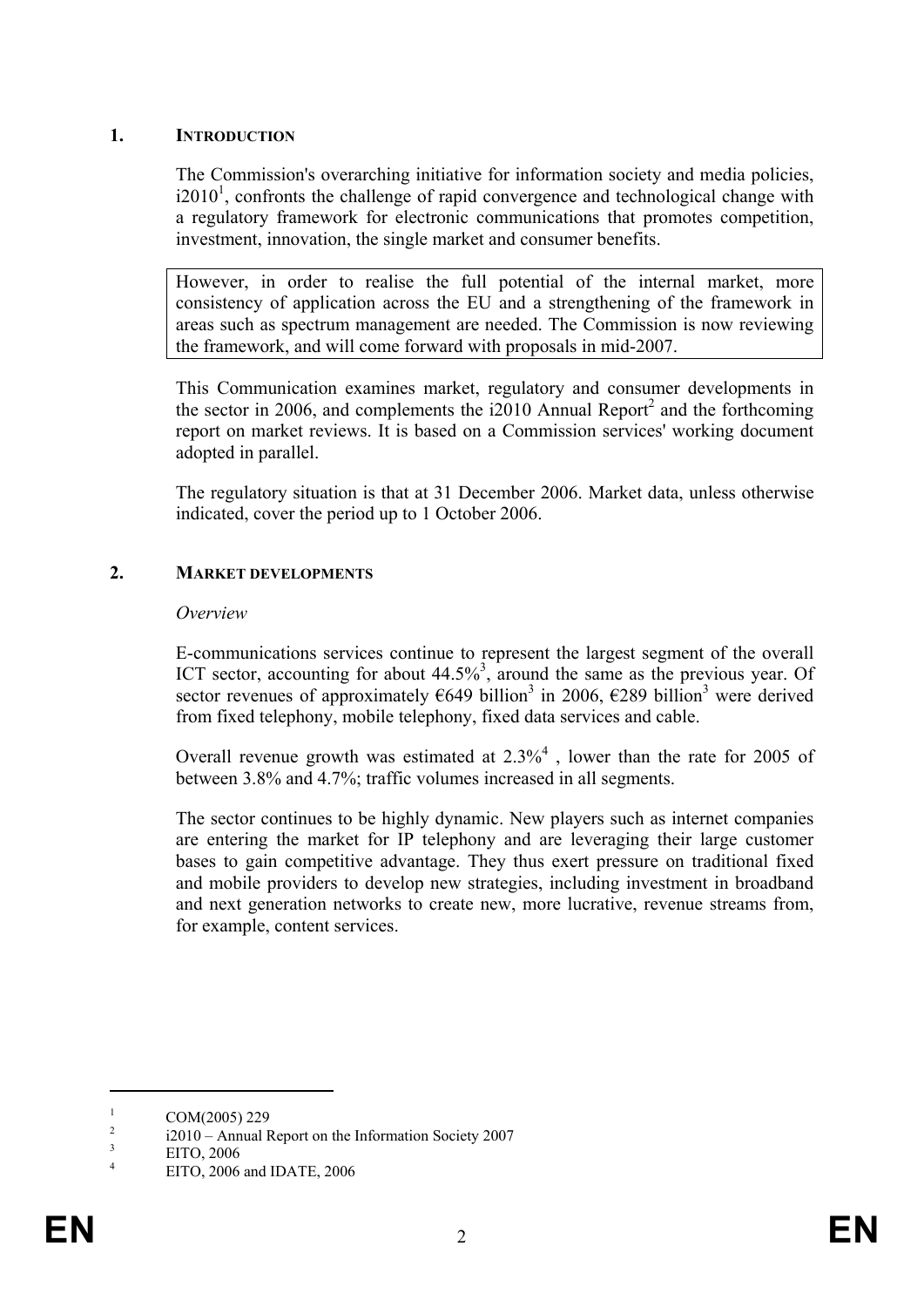## **1. INTRODUCTION**

The Commission's overarching initiative for information society and media policies,  $i2010<sup>1</sup>$ , confronts the challenge of rapid convergence and technological change with a regulatory framework for electronic communications that promotes competition, investment, innovation, the single market and consumer benefits.

However, in order to realise the full potential of the internal market, more consistency of application across the EU and a strengthening of the framework in areas such as spectrum management are needed. The Commission is now reviewing the framework, and will come forward with proposals in mid-2007.

This Communication examines market, regulatory and consumer developments in the sector in 2006, and complements the  $i2010$  Annual Report<sup>2</sup> and the forthcoming report on market reviews. It is based on a Commission services' working document adopted in parallel.

The regulatory situation is that at 31 December 2006. Market data, unless otherwise indicated, cover the period up to 1 October 2006.

# **2. MARKET DEVELOPMENTS**

#### *Overview*

E-communications services continue to represent the largest segment of the overall ICT sector, accounting for about  $44.5\%$ <sup>3</sup>, around the same as the previous year. Of sector revenues of approximately  $\epsilon$ 649 billion<sup>3</sup> in 2006,  $\epsilon$ 289 billion<sup>3</sup> were derived from fixed telephony, mobile telephony, fixed data services and cable.

Overall revenue growth was estimated at  $2.3\%$ <sup>4</sup>, lower than the rate for 2005 of between 3.8% and 4.7%; traffic volumes increased in all segments.

The sector continues to be highly dynamic. New players such as internet companies are entering the market for IP telephony and are leveraging their large customer bases to gain competitive advantage. They thus exert pressure on traditional fixed and mobile providers to develop new strategies, including investment in broadband and next generation networks to create new, more lucrative, revenue streams from, for example, content services.

<sup>1</sup> COM(2005) 229

 $\overline{2}$ i2010 – Annual Report on the Information Society 2007

<sup>3</sup> EITO, 2006

<sup>4</sup> EITO, 2006 and IDATE, 2006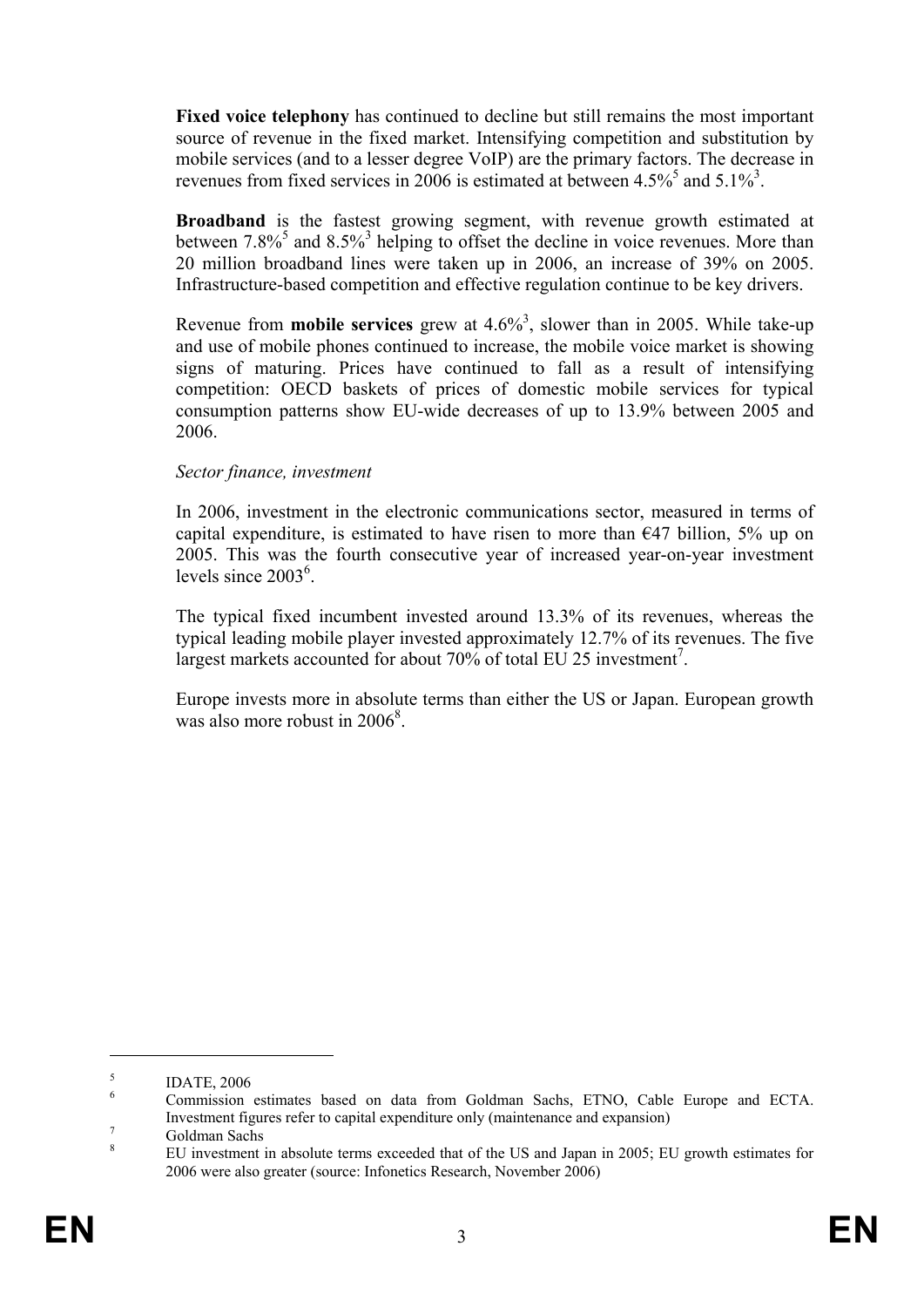**Fixed voice telephony** has continued to decline but still remains the most important source of revenue in the fixed market. Intensifying competition and substitution by mobile services (and to a lesser degree VoIP) are the primary factors. The decrease in revenues from fixed services in 2006 is estimated at between  $4.5\%$ <sup>5</sup> and  $5.1\%$ <sup>3</sup>.

**Broadband** is the fastest growing segment, with revenue growth estimated at between  $7.8\%$ <sup>5</sup> and  $8.5\%$ <sup>3</sup> helping to offset the decline in voice revenues. More than 20 million broadband lines were taken up in 2006, an increase of 39% on 2005. Infrastructure-based competition and effective regulation continue to be key drivers.

Revenue from **mobile services** grew at  $4.6\%$ <sup>3</sup>, slower than in 2005. While take-up and use of mobile phones continued to increase, the mobile voice market is showing signs of maturing. Prices have continued to fall as a result of intensifying competition: OECD baskets of prices of domestic mobile services for typical consumption patterns show EU-wide decreases of up to 13.9% between 2005 and 2006.

## *Sector finance, investment*

In 2006, investment in the electronic communications sector, measured in terms of capital expenditure, is estimated to have risen to more than  $E$ 47 billion, 5% up on 2005. This was the fourth consecutive year of increased year-on-year investment levels since 2003<sup>6</sup>.

The typical fixed incumbent invested around 13.3% of its revenues, whereas the typical leading mobile player invested approximately 12.7% of its revenues. The five largest markets accounted for about 70% of total EU 25 investment<sup>7</sup>.

Europe invests more in absolute terms than either the US or Japan. European growth was also more robust in 2006<sup>8</sup>.

<u>.</u>

<sup>5</sup> IDATE, 2006

<sup>6</sup> Commission estimates based on data from Goldman Sachs, ETNO, Cable Europe and ECTA. Investment figures refer to capital expenditure only (maintenance and expansion)

Goldman Sachs 8

EU investment in absolute terms exceeded that of the US and Japan in 2005; EU growth estimates for 2006 were also greater (source: Infonetics Research, November 2006)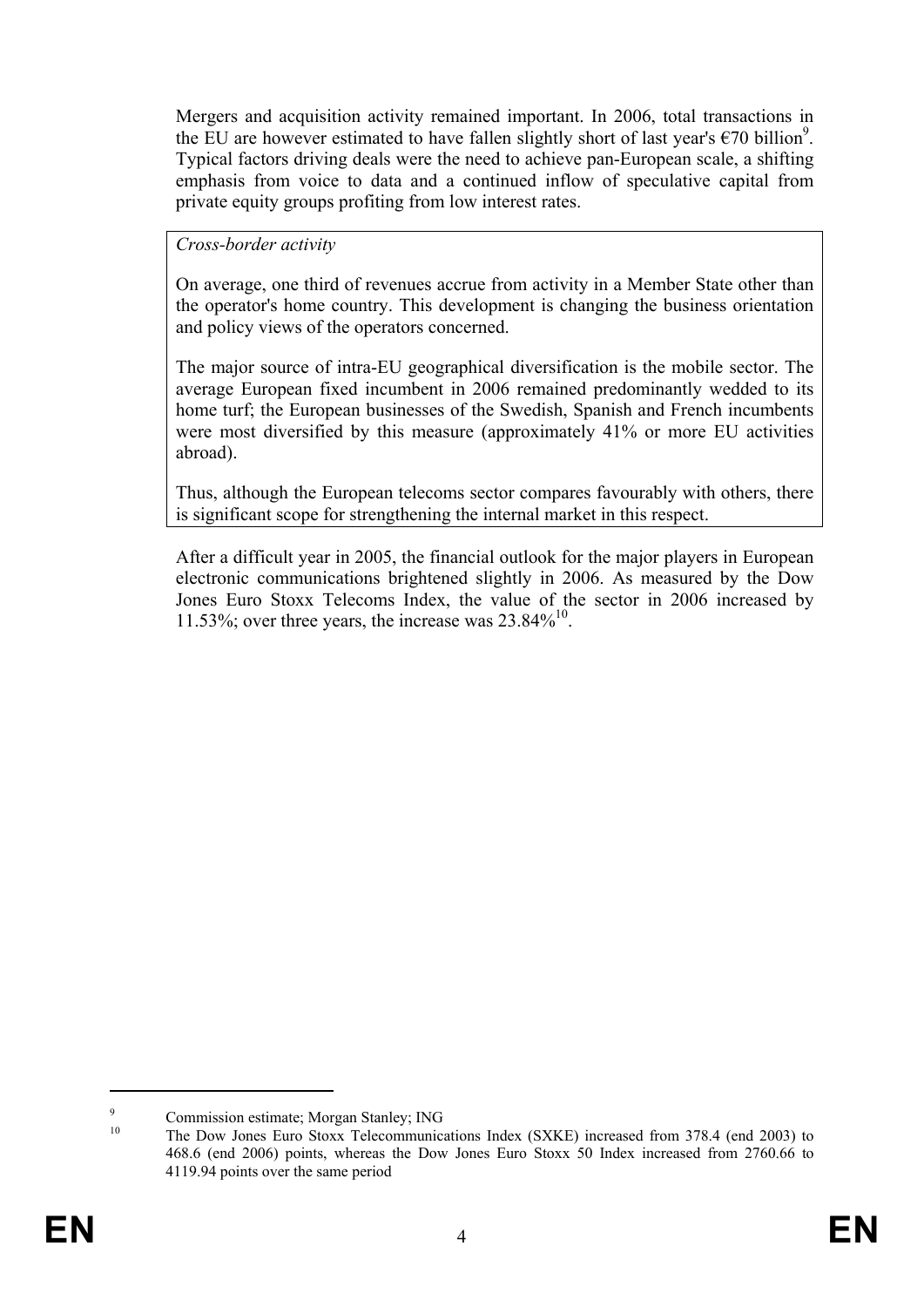Mergers and acquisition activity remained important. In 2006, total transactions in the EU are however estimated to have fallen slightly short of last year's  $\epsilon$ 70 billion<sup>9</sup>. Typical factors driving deals were the need to achieve pan-European scale, a shifting emphasis from voice to data and a continued inflow of speculative capital from private equity groups profiting from low interest rates.

#### *Cross-border activity*

On average, one third of revenues accrue from activity in a Member State other than the operator's home country. This development is changing the business orientation and policy views of the operators concerned.

The major source of intra-EU geographical diversification is the mobile sector. The average European fixed incumbent in 2006 remained predominantly wedded to its home turf; the European businesses of the Swedish, Spanish and French incumbents were most diversified by this measure (approximately 41% or more EU activities abroad).

Thus, although the European telecoms sector compares favourably with others, there is significant scope for strengthening the internal market in this respect.

After a difficult year in 2005, the financial outlook for the major players in European electronic communications brightened slightly in 2006. As measured by the Dow Jones Euro Stoxx Telecoms Index, the value of the sector in 2006 increased by 11.53%; over three years, the increase was  $23.84\%^{10}$ .

 $\overline{Q}$  $^{9}$  Commission estimate; Morgan Stanley; ING

The Dow Jones Euro Stoxx Telecommunications Index (SXKE) increased from 378.4 (end 2003) to 468.6 (end 2006) points, whereas the Dow Jones Euro Stoxx 50 Index increased from 2760.66 to 4119.94 points over the same period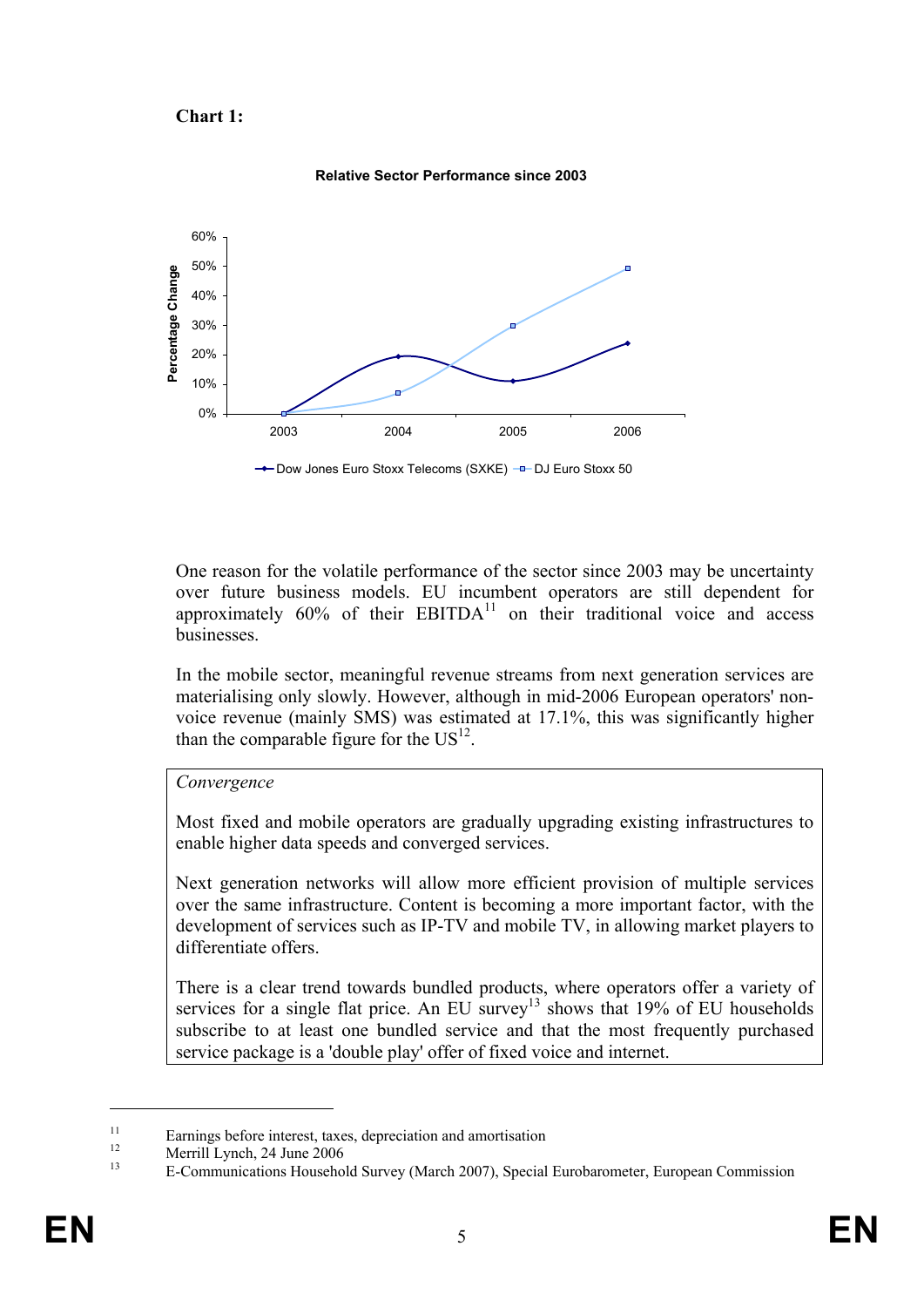



**Relative Sector Performance since 2003** 

One reason for the volatile performance of the sector since 2003 may be uncertainty over future business models. EU incumbent operators are still dependent for approximately  $60\%$  of their EBITDA $^{11}$  on their traditional voice and access businesses.

In the mobile sector, meaningful revenue streams from next generation services are materialising only slowly. However, although in mid-2006 European operators' nonvoice revenue (mainly SMS) was estimated at 17.1%, this was significantly higher than the comparable figure for the  $US<sup>12</sup>$ .

#### *Convergence*

Most fixed and mobile operators are gradually upgrading existing infrastructures to enable higher data speeds and converged services.

Next generation networks will allow more efficient provision of multiple services over the same infrastructure. Content is becoming a more important factor, with the development of services such as IP-TV and mobile TV, in allowing market players to differentiate offers.

There is a clear trend towards bundled products, where operators offer a variety of services for a single flat price. An EU survey<sup>13</sup> shows that  $19\%$  of EU households subscribe to at least one bundled service and that the most frequently purchased service package is a 'double play' offer of fixed voice and internet.

<u>.</u>

 $\frac{11}{12}$  Earnings before interest, taxes, depreciation and amortisation

 $12$  Merrill Lynch, 24 June 2006

<sup>13</sup> E-Communications Household Survey (March 2007), Special Eurobarometer, European Commission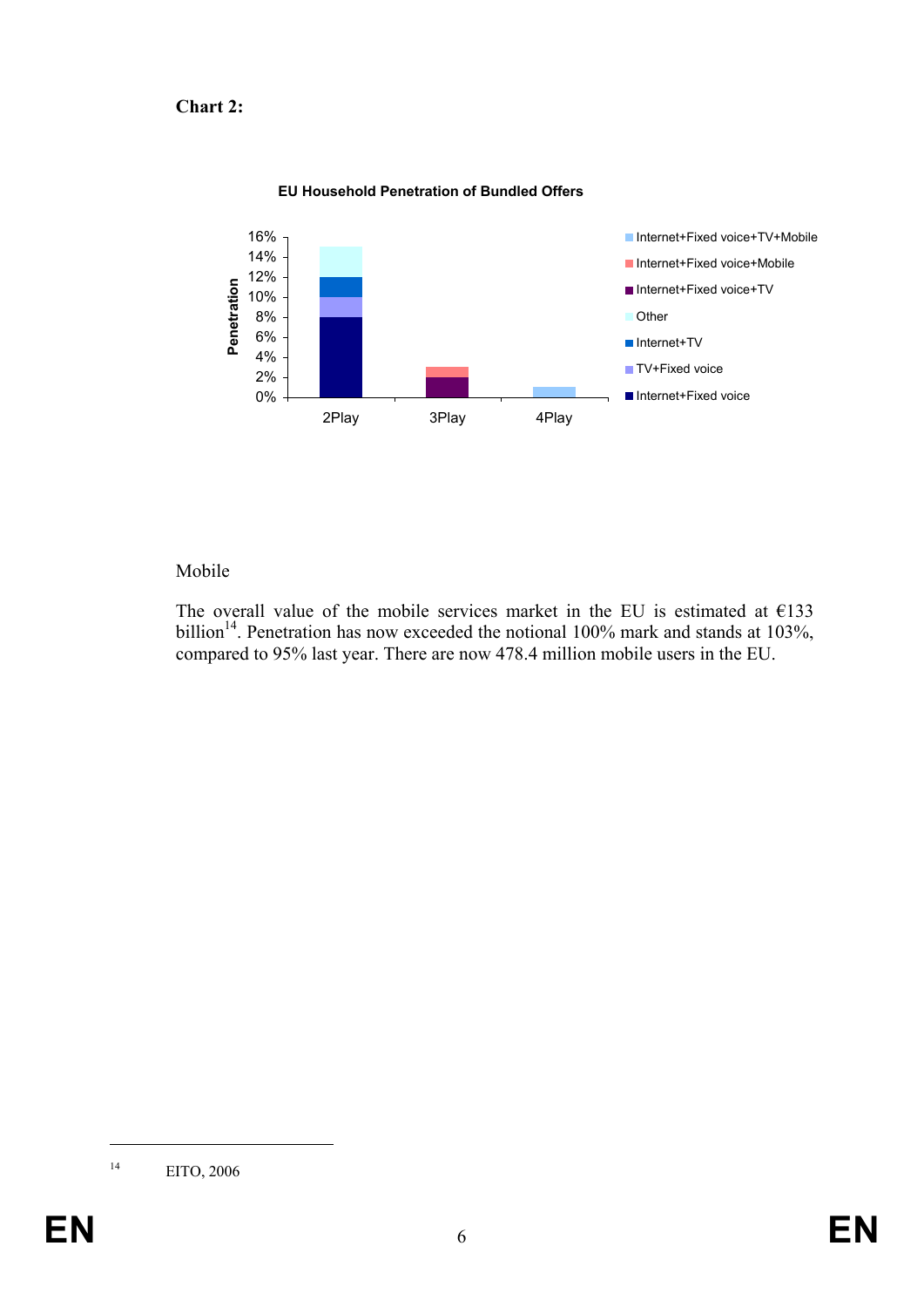# **Chart 2:**



#### **EU Household Penetration of Bundled Offers**

#### Mobile

The overall value of the mobile services market in the EU is estimated at  $E$ 133 billion<sup>14</sup>. Penetration has now exceeded the notional 100% mark and stands at 103%, compared to 95% last year. There are now 478.4 million mobile users in the EU.

<sup>14</sup> EITO, 2006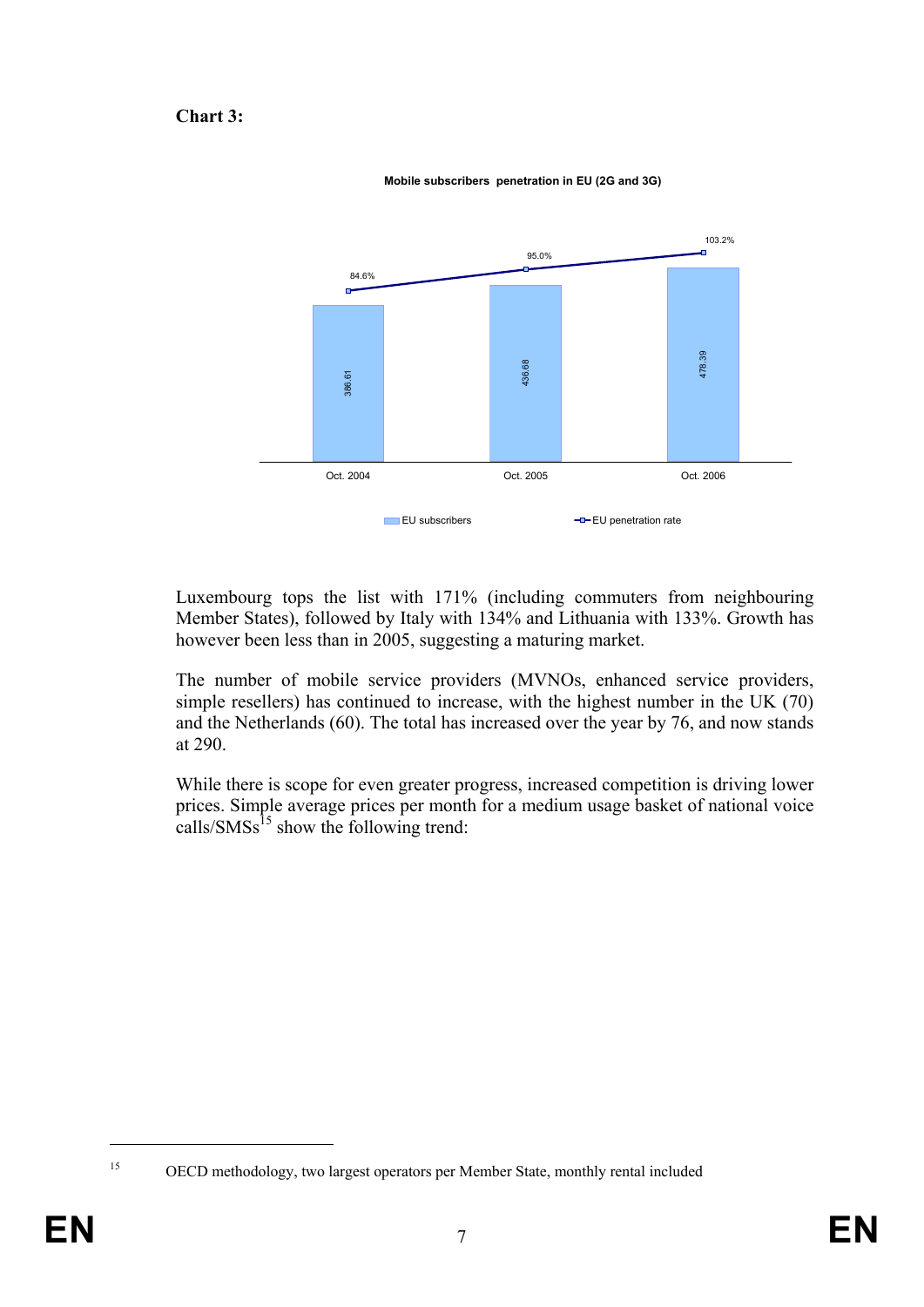## **Chart 3:**



**Mobile subscribers penetration in EU (2G and 3G)**

Luxembourg tops the list with 171% (including commuters from neighbouring Member States), followed by Italy with 134% and Lithuania with 133%. Growth has however been less than in 2005, suggesting a maturing market.

The number of mobile service providers (MVNOs, enhanced service providers, simple resellers) has continued to increase, with the highest number in the UK (70) and the Netherlands (60). The total has increased over the year by 76, and now stands at 290.

While there is scope for even greater progress, increased competition is driving lower prices. Simple average prices per month for a medium usage basket of national voice calls/ $\text{SMSs}^{15}$  show the following trend:

<sup>1</sup> 

<sup>15</sup> OECD methodology, two largest operators per Member State, monthly rental included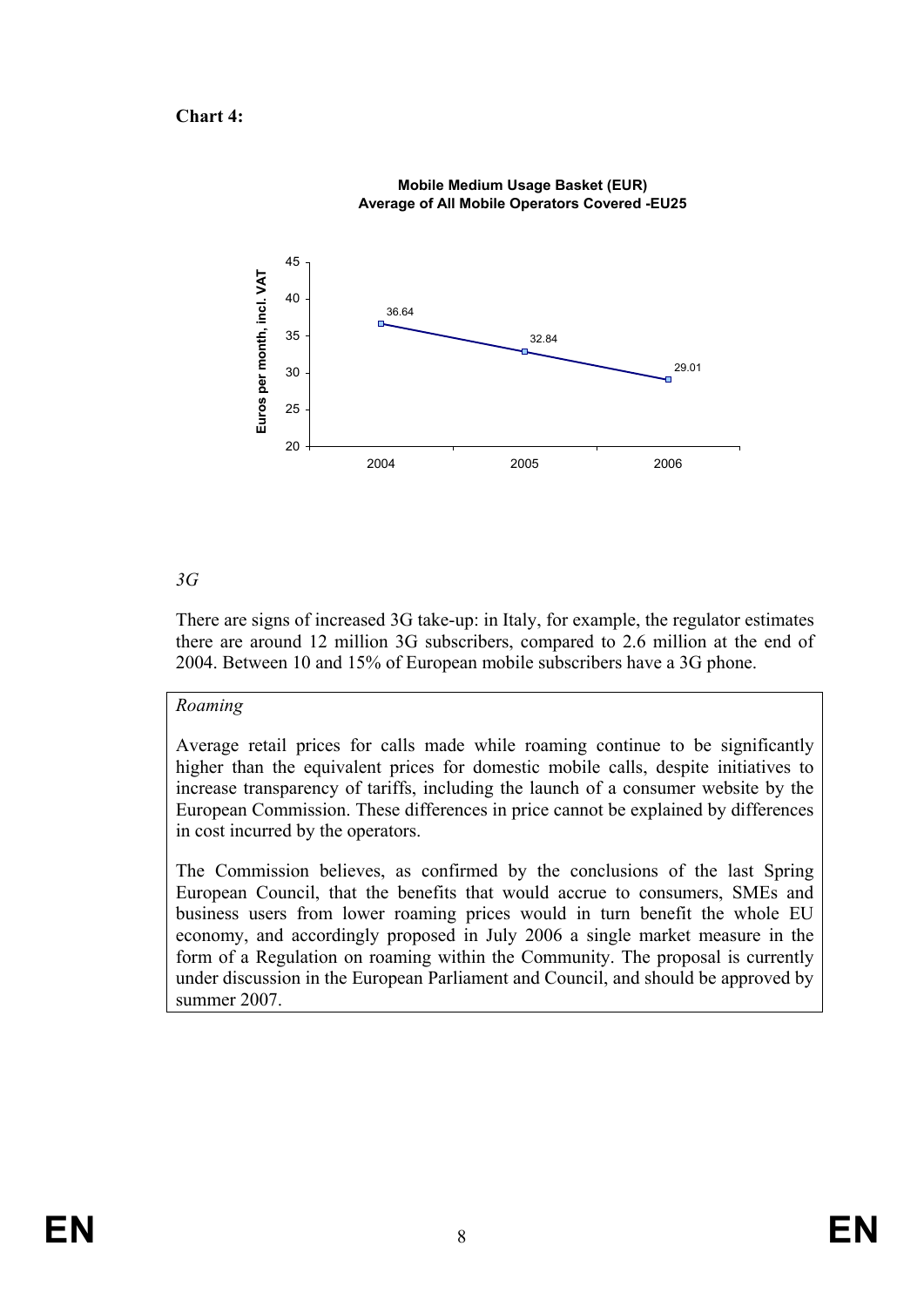**Chart 4:** 



**Mobile Medium Usage Basket (EUR) Average of All Mobile Operators Covered -EU25**

## *3G*

There are signs of increased 3G take-up: in Italy, for example, the regulator estimates there are around 12 million 3G subscribers, compared to 2.6 million at the end of 2004. Between 10 and 15% of European mobile subscribers have a 3G phone.

## *Roaming*

Average retail prices for calls made while roaming continue to be significantly higher than the equivalent prices for domestic mobile calls, despite initiatives to increase transparency of tariffs, including the launch of a consumer website by the European Commission. These differences in price cannot be explained by differences in cost incurred by the operators.

The Commission believes, as confirmed by the conclusions of the last Spring European Council, that the benefits that would accrue to consumers, SMEs and business users from lower roaming prices would in turn benefit the whole EU economy, and accordingly proposed in July 2006 a single market measure in the form of a Regulation on roaming within the Community. The proposal is currently under discussion in the European Parliament and Council, and should be approved by summer 2007.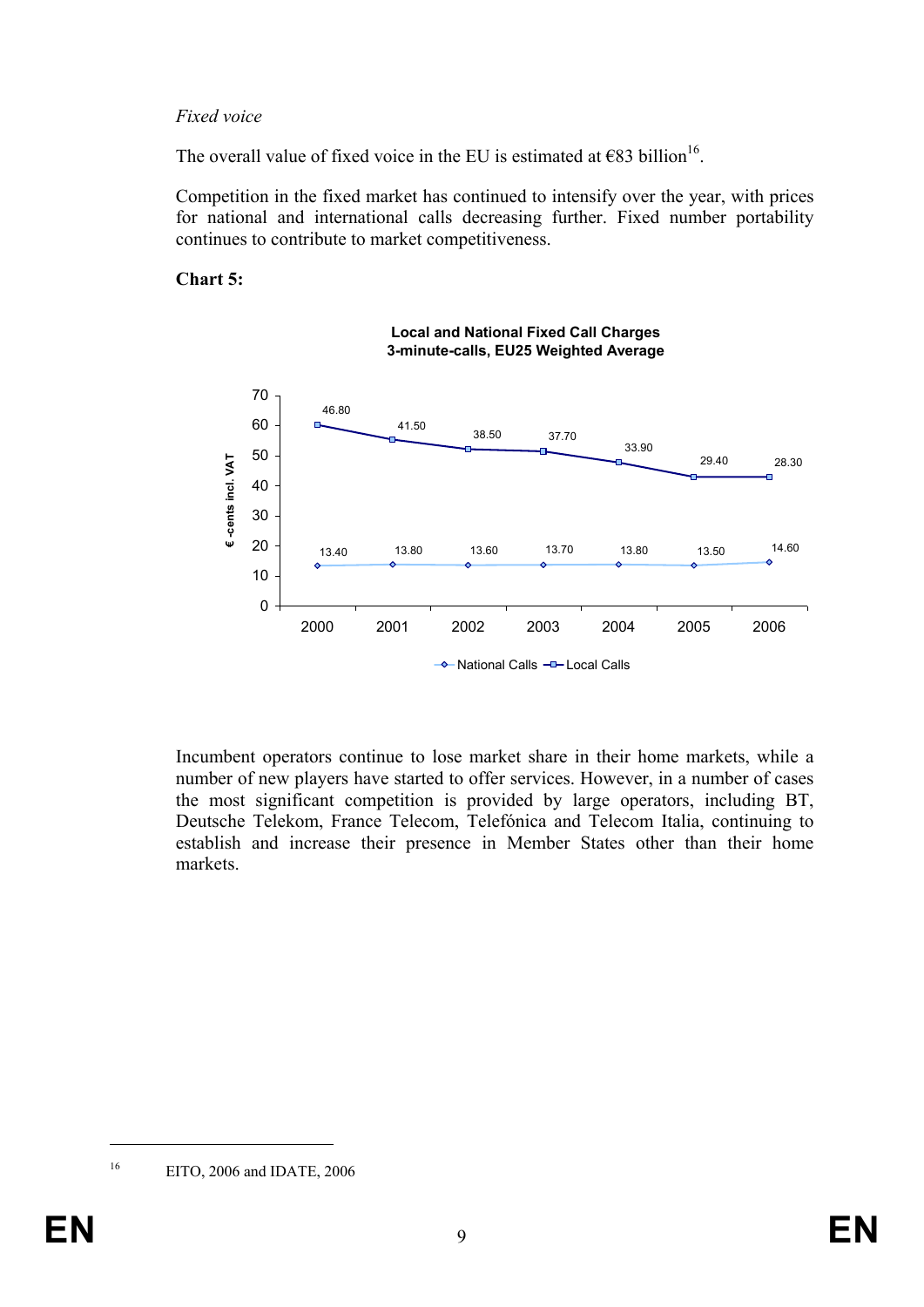## *Fixed voice*

The overall value of fixed voice in the EU is estimated at  $€83$  billion<sup>16</sup>.

Competition in the fixed market has continued to intensify over the year, with prices for national and international calls decreasing further. Fixed number portability continues to contribute to market competitiveness.

#### **Chart 5:**



Incumbent operators continue to lose market share in their home markets, while a number of new players have started to offer services. However, in a number of cases the most significant competition is provided by large operators, including BT, Deutsche Telekom, France Telecom, Telefónica and Telecom Italia, continuing to establish and increase their presence in Member States other than their home markets.

<sup>16</sup> EITO, 2006 and IDATE, 2006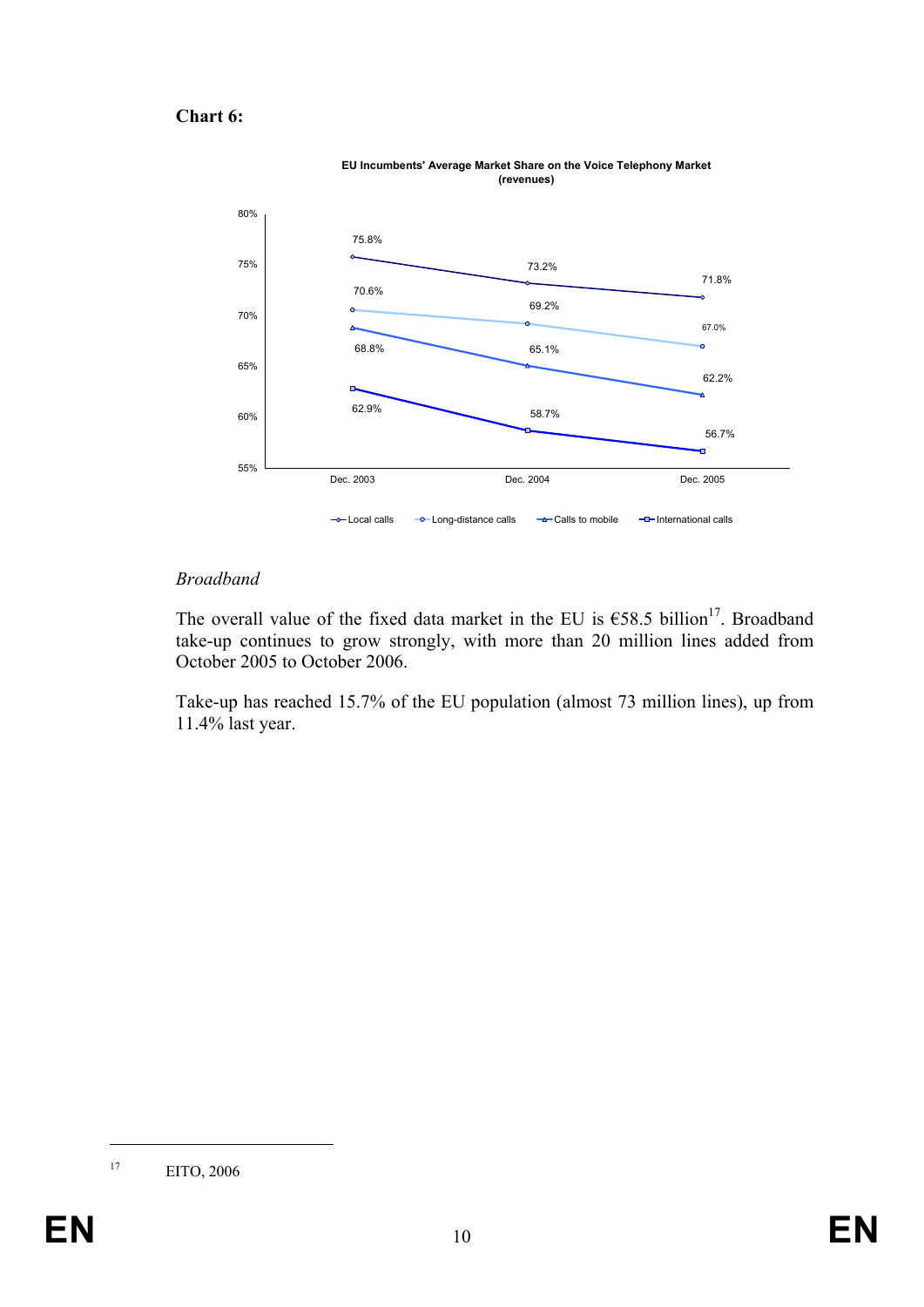## **Chart 6:**



#### **EU Incumbents' Average Market Share on the Voice Telephony Market (revenues)**

## *Broadband*

The overall value of the fixed data market in the EU is  $658.5$  billion<sup>17</sup>. Broadband take-up continues to grow strongly, with more than 20 million lines added from October 2005 to October 2006.

Take-up has reached 15.7% of the EU population (almost 73 million lines), up from 11.4% last year.

<sup>17</sup> EITO, 2006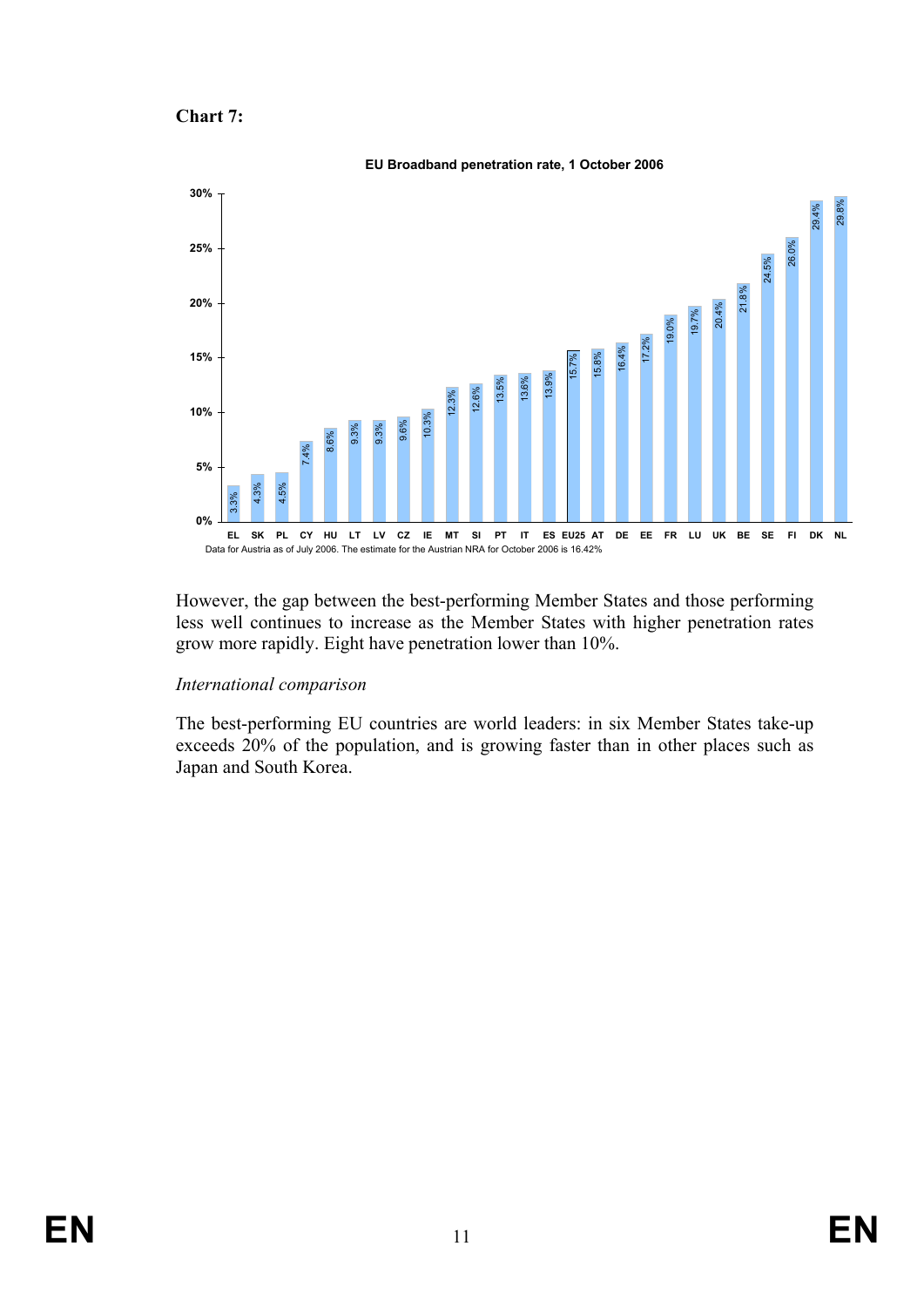```
Chart 7:
```


However, the gap between the best-performing Member States and those performing less well continues to increase as the Member States with higher penetration rates grow more rapidly. Eight have penetration lower than 10%.

# *International comparison*

The best-performing EU countries are world leaders: in six Member States take-up exceeds 20% of the population, and is growing faster than in other places such as Japan and South Korea.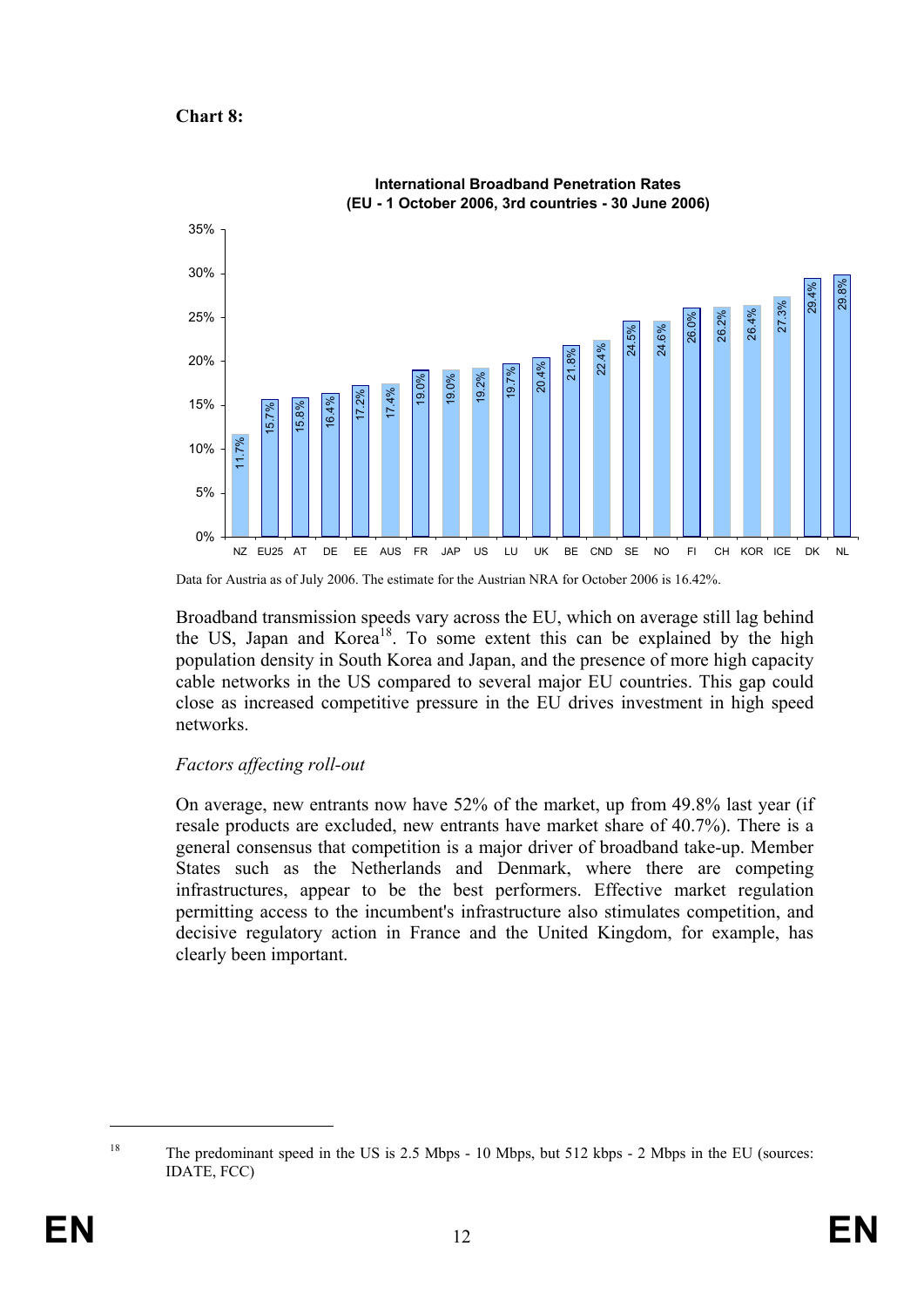## **Chart 8:**



Data for Austria as of July 2006. The estimate for the Austrian NRA for October 2006 is 16.42%.

Broadband transmission speeds vary across the EU, which on average still lag behind the US, Japan and Korea<sup>18</sup>. To some extent this can be explained by the high population density in South Korea and Japan, and the presence of more high capacity cable networks in the US compared to several major EU countries. This gap could close as increased competitive pressure in the EU drives investment in high speed networks.

# *Factors affecting roll-out*

On average, new entrants now have 52% of the market, up from 49.8% last year (if resale products are excluded, new entrants have market share of 40.7%). There is a general consensus that competition is a major driver of broadband take-up. Member States such as the Netherlands and Denmark, where there are competing infrastructures, appear to be the best performers. Effective market regulation permitting access to the incumbent's infrastructure also stimulates competition, and decisive regulatory action in France and the United Kingdom, for example, has clearly been important.

<sup>&</sup>lt;sup>18</sup> The predominant speed in the US is 2.5 Mbps - 10 Mbps, but 512 kbps - 2 Mbps in the EU (sources: IDATE, FCC)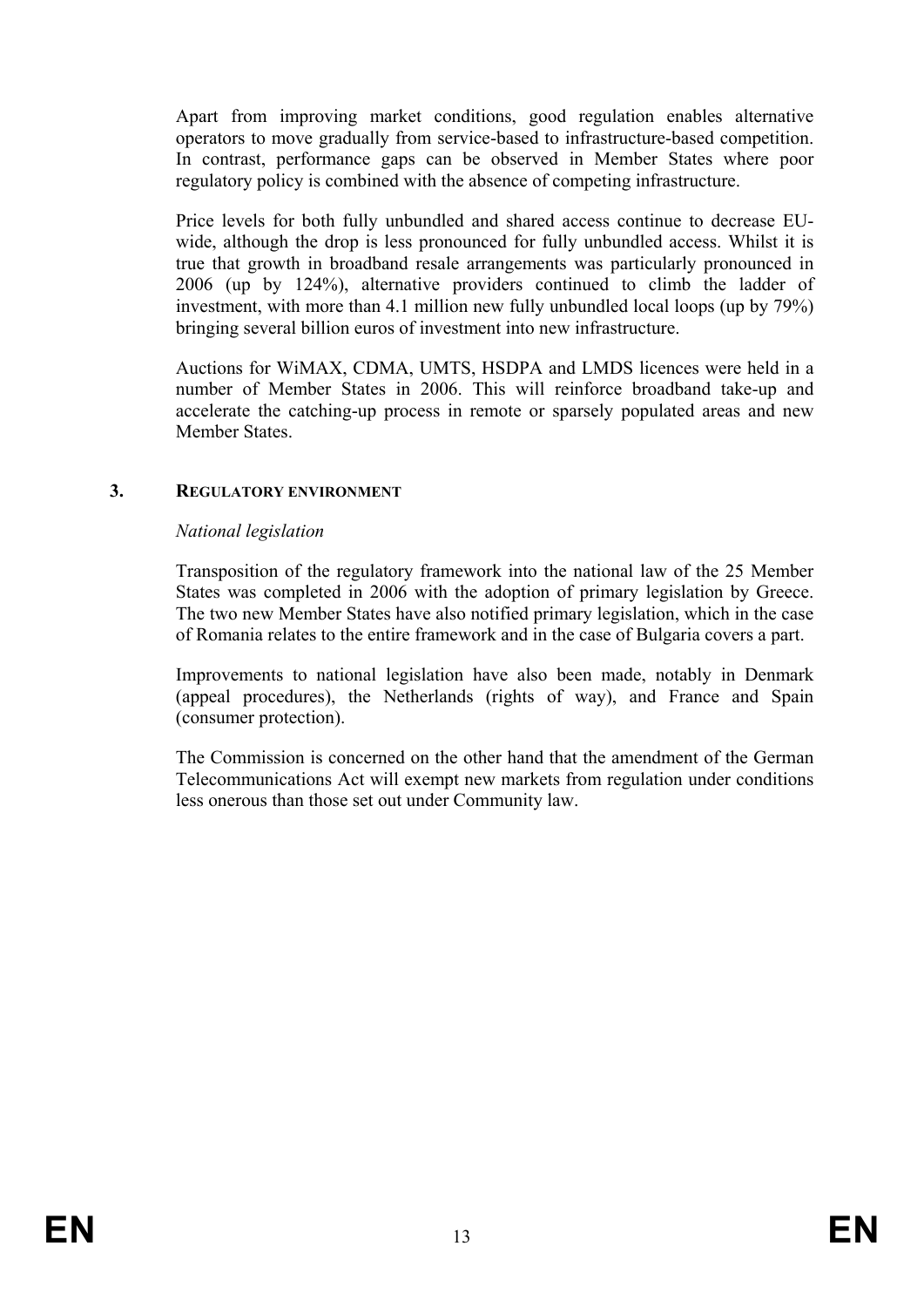Apart from improving market conditions, good regulation enables alternative operators to move gradually from service-based to infrastructure-based competition. In contrast, performance gaps can be observed in Member States where poor regulatory policy is combined with the absence of competing infrastructure.

Price levels for both fully unbundled and shared access continue to decrease EUwide, although the drop is less pronounced for fully unbundled access. Whilst it is true that growth in broadband resale arrangements was particularly pronounced in 2006 (up by 124%), alternative providers continued to climb the ladder of investment, with more than 4.1 million new fully unbundled local loops (up by 79%) bringing several billion euros of investment into new infrastructure.

Auctions for WiMAX, CDMA, UMTS, HSDPA and LMDS licences were held in a number of Member States in 2006. This will reinforce broadband take-up and accelerate the catching-up process in remote or sparsely populated areas and new Member States.

## **3. REGULATORY ENVIRONMENT**

## *National legislation*

Transposition of the regulatory framework into the national law of the 25 Member States was completed in 2006 with the adoption of primary legislation by Greece. The two new Member States have also notified primary legislation, which in the case of Romania relates to the entire framework and in the case of Bulgaria covers a part.

Improvements to national legislation have also been made, notably in Denmark (appeal procedures), the Netherlands (rights of way), and France and Spain (consumer protection).

The Commission is concerned on the other hand that the amendment of the German Telecommunications Act will exempt new markets from regulation under conditions less onerous than those set out under Community law.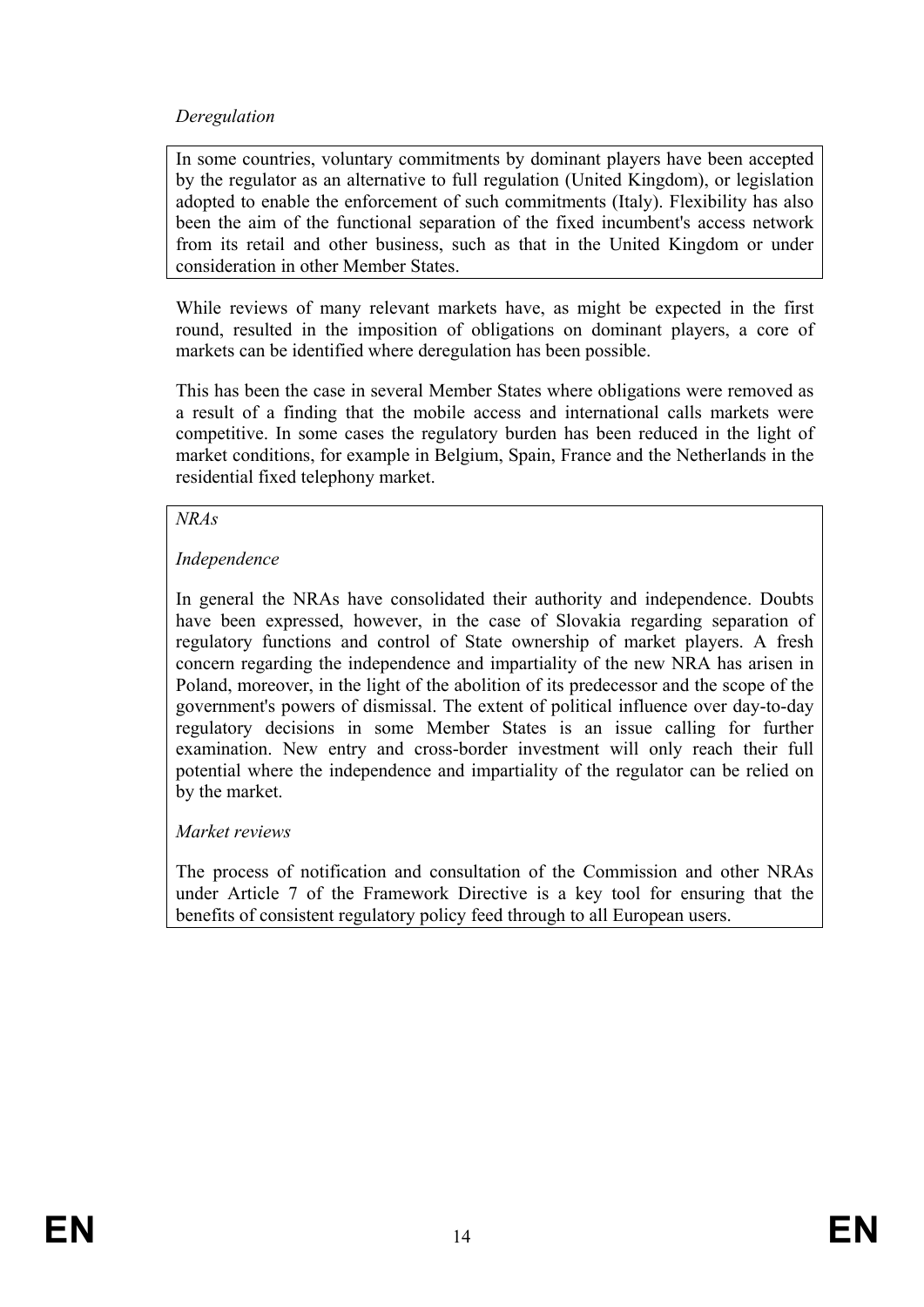# *Deregulation*

In some countries, voluntary commitments by dominant players have been accepted by the regulator as an alternative to full regulation (United Kingdom), or legislation adopted to enable the enforcement of such commitments (Italy). Flexibility has also been the aim of the functional separation of the fixed incumbent's access network from its retail and other business, such as that in the United Kingdom or under consideration in other Member States.

While reviews of many relevant markets have, as might be expected in the first round, resulted in the imposition of obligations on dominant players, a core of markets can be identified where deregulation has been possible.

This has been the case in several Member States where obligations were removed as a result of a finding that the mobile access and international calls markets were competitive. In some cases the regulatory burden has been reduced in the light of market conditions, for example in Belgium, Spain, France and the Netherlands in the residential fixed telephony market.

## *NRAs*

# *Independence*

In general the NRAs have consolidated their authority and independence. Doubts have been expressed, however, in the case of Slovakia regarding separation of regulatory functions and control of State ownership of market players. A fresh concern regarding the independence and impartiality of the new NRA has arisen in Poland, moreover, in the light of the abolition of its predecessor and the scope of the government's powers of dismissal. The extent of political influence over day-to-day regulatory decisions in some Member States is an issue calling for further examination. New entry and cross-border investment will only reach their full potential where the independence and impartiality of the regulator can be relied on by the market.

# *Market reviews*

The process of notification and consultation of the Commission and other NRAs under Article 7 of the Framework Directive is a key tool for ensuring that the benefits of consistent regulatory policy feed through to all European users.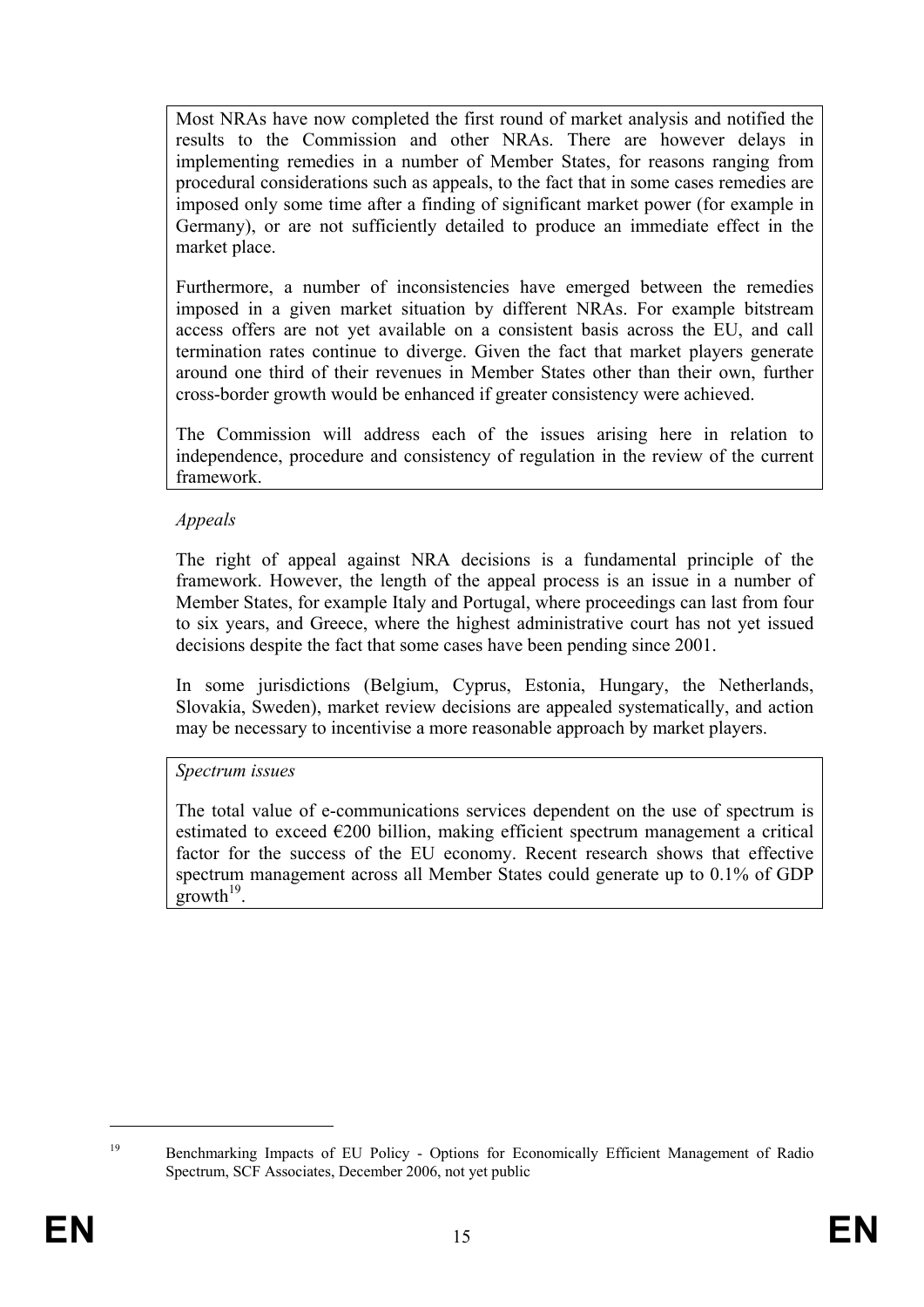Most NRAs have now completed the first round of market analysis and notified the results to the Commission and other NRAs. There are however delays in implementing remedies in a number of Member States, for reasons ranging from procedural considerations such as appeals, to the fact that in some cases remedies are imposed only some time after a finding of significant market power (for example in Germany), or are not sufficiently detailed to produce an immediate effect in the market place.

Furthermore, a number of inconsistencies have emerged between the remedies imposed in a given market situation by different NRAs. For example bitstream access offers are not yet available on a consistent basis across the EU, and call termination rates continue to diverge. Given the fact that market players generate around one third of their revenues in Member States other than their own, further cross-border growth would be enhanced if greater consistency were achieved.

The Commission will address each of the issues arising here in relation to independence, procedure and consistency of regulation in the review of the current framework.

# *Appeals*

The right of appeal against NRA decisions is a fundamental principle of the framework. However, the length of the appeal process is an issue in a number of Member States, for example Italy and Portugal, where proceedings can last from four to six years, and Greece, where the highest administrative court has not yet issued decisions despite the fact that some cases have been pending since 2001.

In some jurisdictions (Belgium, Cyprus, Estonia, Hungary, the Netherlands, Slovakia, Sweden), market review decisions are appealed systematically, and action may be necessary to incentivise a more reasonable approach by market players.

## *Spectrum issues*

The total value of e-communications services dependent on the use of spectrum is estimated to exceed  $\epsilon$ 200 billion, making efficient spectrum management a critical factor for the success of the EU economy. Recent research shows that effective spectrum management across all Member States could generate up to 0.1% of GDP  $g$ rowth<sup>19</sup>

<sup>&</sup>lt;sup>19</sup> Benchmarking Impacts of EU Policy - Options for Economically Efficient Management of Radio Spectrum, SCF Associates, December 2006, not yet public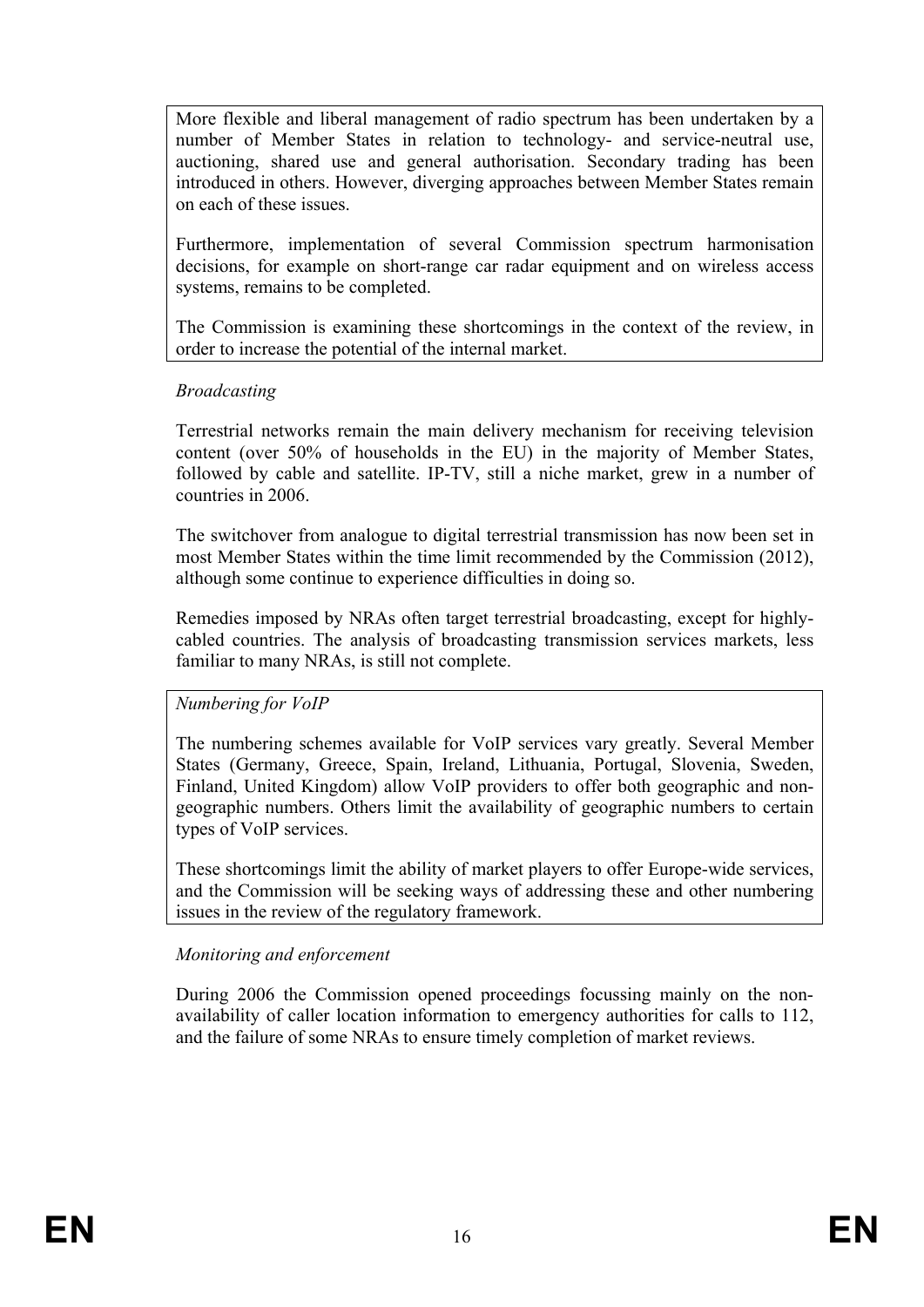More flexible and liberal management of radio spectrum has been undertaken by a number of Member States in relation to technology- and service-neutral use, auctioning, shared use and general authorisation. Secondary trading has been introduced in others. However, diverging approaches between Member States remain on each of these issues.

Furthermore, implementation of several Commission spectrum harmonisation decisions, for example on short-range car radar equipment and on wireless access systems, remains to be completed.

The Commission is examining these shortcomings in the context of the review, in order to increase the potential of the internal market.

## *Broadcasting*

Terrestrial networks remain the main delivery mechanism for receiving television content (over 50% of households in the EU) in the majority of Member States, followed by cable and satellite. IP-TV, still a niche market, grew in a number of countries in 2006.

The switchover from analogue to digital terrestrial transmission has now been set in most Member States within the time limit recommended by the Commission (2012), although some continue to experience difficulties in doing so.

Remedies imposed by NRAs often target terrestrial broadcasting, except for highlycabled countries. The analysis of broadcasting transmission services markets, less familiar to many NRAs, is still not complete.

## *Numbering for VoIP*

The numbering schemes available for VoIP services vary greatly. Several Member States (Germany, Greece, Spain, Ireland, Lithuania, Portugal, Slovenia, Sweden, Finland, United Kingdom) allow VoIP providers to offer both geographic and nongeographic numbers. Others limit the availability of geographic numbers to certain types of VoIP services.

These shortcomings limit the ability of market players to offer Europe-wide services, and the Commission will be seeking ways of addressing these and other numbering issues in the review of the regulatory framework.

## *Monitoring and enforcement*

During 2006 the Commission opened proceedings focussing mainly on the nonavailability of caller location information to emergency authorities for calls to 112, and the failure of some NRAs to ensure timely completion of market reviews.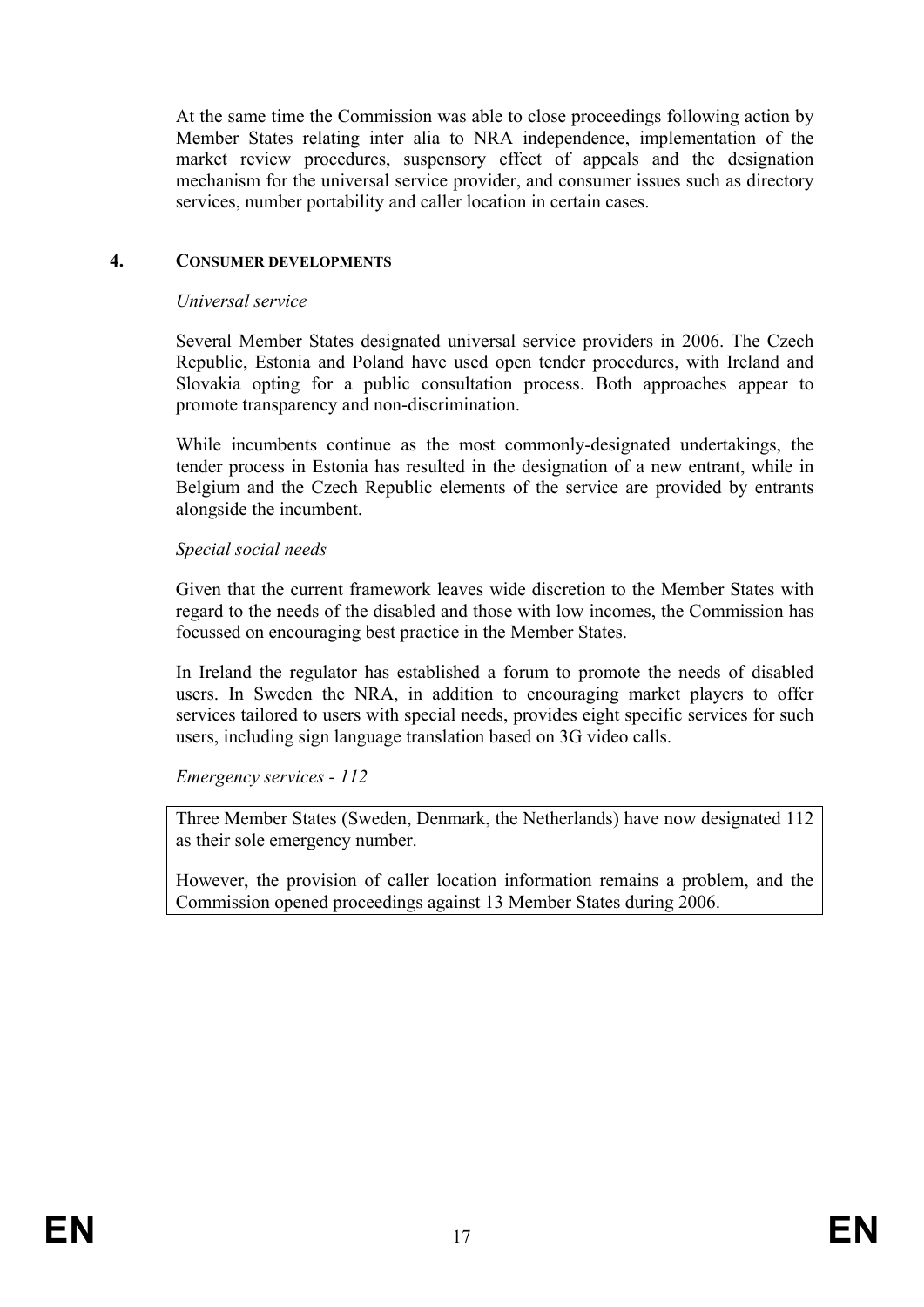At the same time the Commission was able to close proceedings following action by Member States relating inter alia to NRA independence, implementation of the market review procedures, suspensory effect of appeals and the designation mechanism for the universal service provider, and consumer issues such as directory services, number portability and caller location in certain cases.

## **4. CONSUMER DEVELOPMENTS**

#### *Universal service*

Several Member States designated universal service providers in 2006. The Czech Republic, Estonia and Poland have used open tender procedures, with Ireland and Slovakia opting for a public consultation process. Both approaches appear to promote transparency and non-discrimination.

While incumbents continue as the most commonly-designated undertakings, the tender process in Estonia has resulted in the designation of a new entrant, while in Belgium and the Czech Republic elements of the service are provided by entrants alongside the incumbent.

## *Special social needs*

Given that the current framework leaves wide discretion to the Member States with regard to the needs of the disabled and those with low incomes, the Commission has focussed on encouraging best practice in the Member States.

In Ireland the regulator has established a forum to promote the needs of disabled users. In Sweden the NRA, in addition to encouraging market players to offer services tailored to users with special needs, provides eight specific services for such users, including sign language translation based on 3G video calls.

*Emergency services - 112* 

Three Member States (Sweden, Denmark, the Netherlands) have now designated 112 as their sole emergency number.

However, the provision of caller location information remains a problem, and the Commission opened proceedings against 13 Member States during 2006.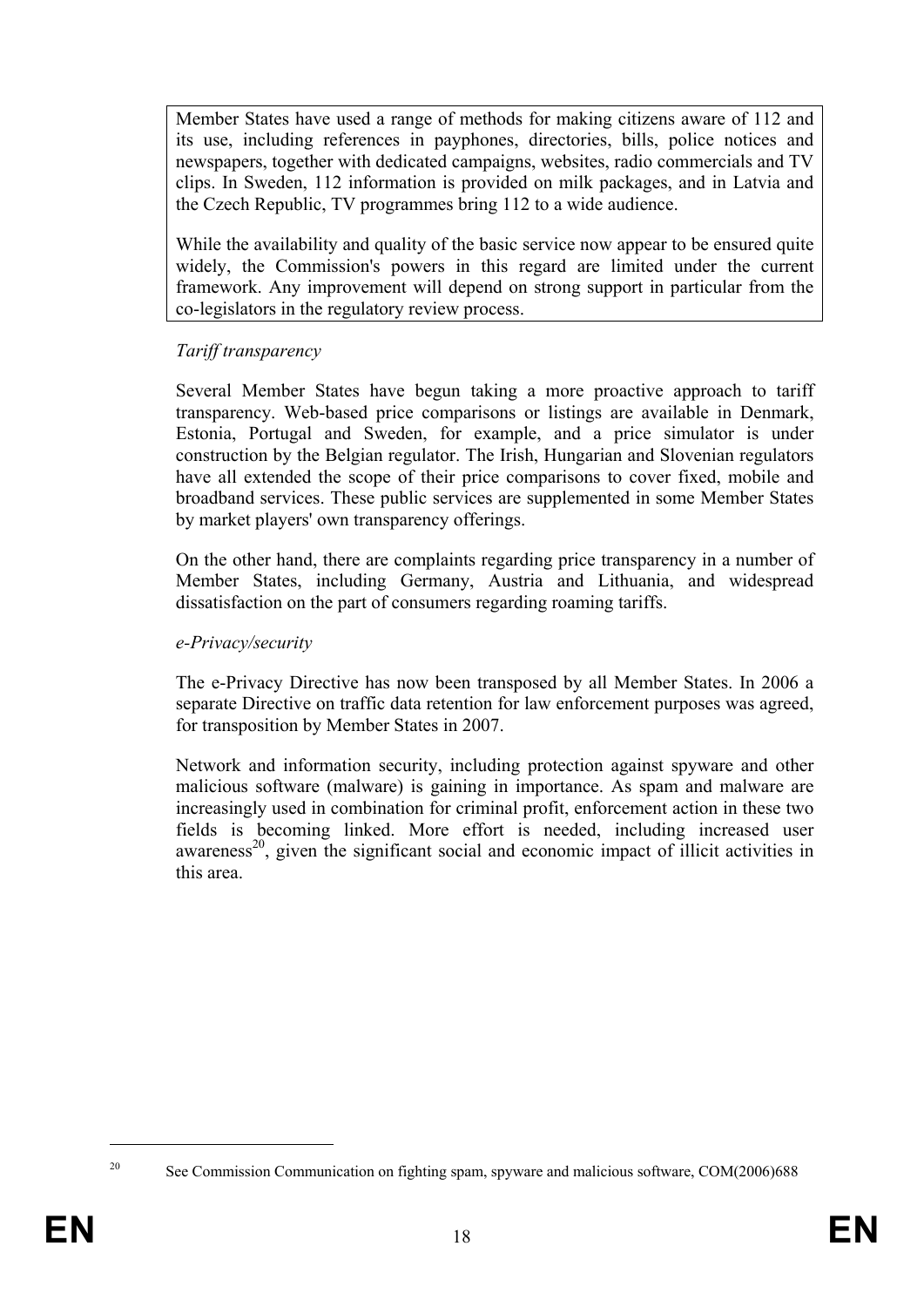Member States have used a range of methods for making citizens aware of 112 and its use, including references in payphones, directories, bills, police notices and newspapers, together with dedicated campaigns, websites, radio commercials and TV clips. In Sweden, 112 information is provided on milk packages, and in Latvia and the Czech Republic, TV programmes bring 112 to a wide audience.

While the availability and quality of the basic service now appear to be ensured quite widely, the Commission's powers in this regard are limited under the current framework. Any improvement will depend on strong support in particular from the co-legislators in the regulatory review process.

# *Tariff transparency*

Several Member States have begun taking a more proactive approach to tariff transparency. Web-based price comparisons or listings are available in Denmark, Estonia, Portugal and Sweden, for example, and a price simulator is under construction by the Belgian regulator. The Irish, Hungarian and Slovenian regulators have all extended the scope of their price comparisons to cover fixed, mobile and broadband services. These public services are supplemented in some Member States by market players' own transparency offerings.

On the other hand, there are complaints regarding price transparency in a number of Member States, including Germany, Austria and Lithuania, and widespread dissatisfaction on the part of consumers regarding roaming tariffs.

## *e-Privacy/security*

The e-Privacy Directive has now been transposed by all Member States. In 2006 a separate Directive on traffic data retention for law enforcement purposes was agreed, for transposition by Member States in 2007.

Network and information security, including protection against spyware and other malicious software (malware) is gaining in importance. As spam and malware are increasingly used in combination for criminal profit, enforcement action in these two fields is becoming linked. More effort is needed, including increased user  $a$ wareness<sup>20</sup>, given the significant social and economic impact of illicit activities in this area.

<sup>1</sup> 

<sup>&</sup>lt;sup>20</sup> See Commission Communication on fighting spam, spyware and malicious software, COM(2006)688